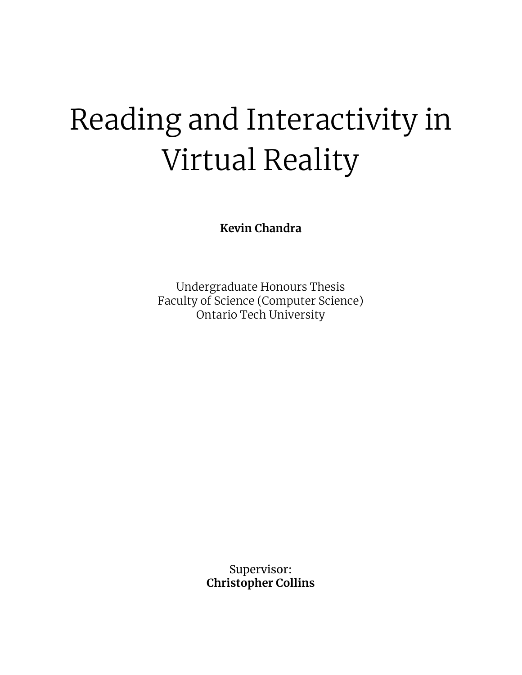# Reading and Interactivity in Virtual Reality

**Kevin Chandra**

Undergraduate Honours Thesis Faculty of Science (Computer Science) Ontario Tech University

> Supervisor: **Christopher Collins**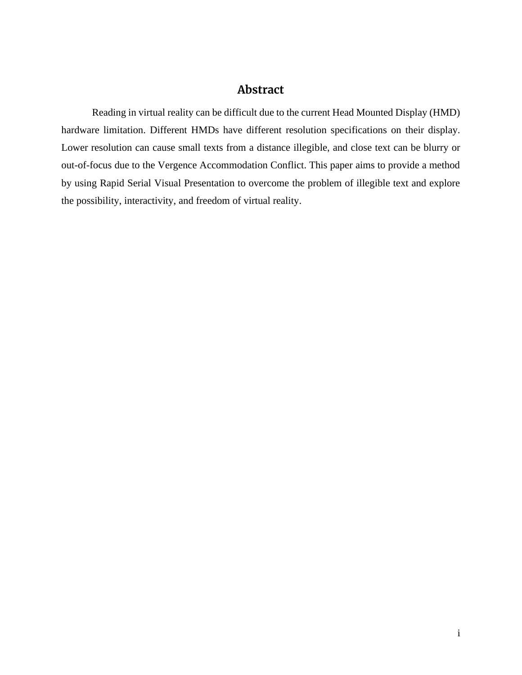### **Abstract**

Reading in virtual reality can be difficult due to the current Head Mounted Display (HMD) hardware limitation. Different HMDs have different resolution specifications on their display. Lower resolution can cause small texts from a distance illegible, and close text can be blurry or out-of-focus due to the Vergence Accommodation Conflict. This paper aims to provide a method by using Rapid Serial Visual Presentation to overcome the problem of illegible text and explore the possibility, interactivity, and freedom of virtual reality.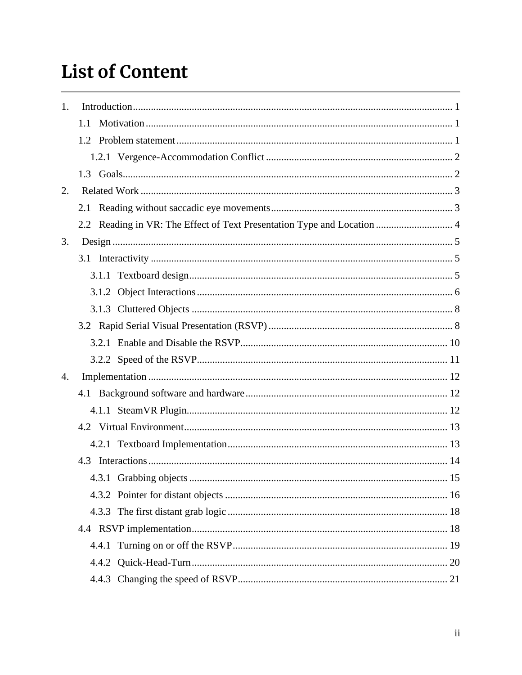# **List of Content**

| 1. |     |                                                                         |  |
|----|-----|-------------------------------------------------------------------------|--|
|    | 1.1 |                                                                         |  |
|    |     |                                                                         |  |
|    |     |                                                                         |  |
|    |     |                                                                         |  |
| 2. |     |                                                                         |  |
|    |     |                                                                         |  |
|    |     | 2.2 Reading in VR: The Effect of Text Presentation Type and Location  4 |  |
| 3. |     |                                                                         |  |
|    |     |                                                                         |  |
|    |     |                                                                         |  |
|    |     |                                                                         |  |
|    |     |                                                                         |  |
|    |     |                                                                         |  |
|    |     |                                                                         |  |
|    |     |                                                                         |  |
| 4. |     |                                                                         |  |
|    |     |                                                                         |  |
|    |     |                                                                         |  |
|    |     |                                                                         |  |
|    |     |                                                                         |  |
|    |     |                                                                         |  |
|    |     |                                                                         |  |
|    |     |                                                                         |  |
|    |     |                                                                         |  |
|    |     |                                                                         |  |
|    |     |                                                                         |  |
|    |     |                                                                         |  |
|    |     |                                                                         |  |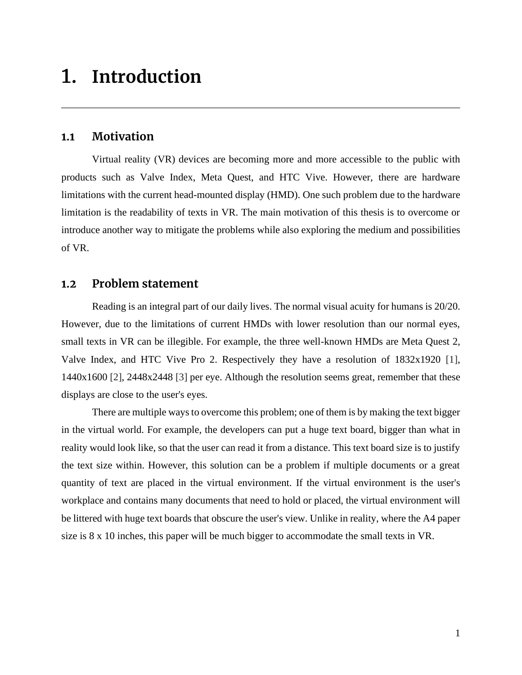# <span id="page-4-0"></span>1. **Introduction**

### <span id="page-4-1"></span>**1.1 Motivation**

Virtual reality (VR) devices are becoming more and more accessible to the public with products such as Valve Index, Meta Quest, and HTC Vive. However, there are hardware limitations with the current head-mounted display (HMD). One such problem due to the hardware limitation is the readability of texts in VR. The main motivation of this thesis is to overcome or introduce another way to mitigate the problems while also exploring the medium and possibilities of VR.

### <span id="page-4-2"></span>**1.2 Problem statement**

Reading is an integral part of our daily lives. The normal visual acuity for humans is 20/20. However, due to the limitations of current HMDs with lower resolution than our normal eyes, small texts in VR can be illegible. For example, the three well-known HMDs are Meta Quest 2, Valve Index, and HTC Vive Pro 2. Respectively they have a resolution of 1832x1920 [\[1\],](#page-27-0) 1440x1600 [\[2\],](#page-27-0) 2448x2448 [\[3\]](#page-27-0) per eye. Although the resolution seems great, remember that these displays are close to the user's eyes.

There are multiple ways to overcome this problem; one of them is by making the text bigger in the virtual world. For example, the developers can put a huge text board, bigger than what in reality would look like, so that the user can read it from a distance. This text board size is to justify the text size within. However, this solution can be a problem if multiple documents or a great quantity of text are placed in the virtual environment. If the virtual environment is the user's workplace and contains many documents that need to hold or placed, the virtual environment will be littered with huge text boards that obscure the user's view. Unlike in reality, where the A4 paper size is 8 x 10 inches, this paper will be much bigger to accommodate the small texts in VR.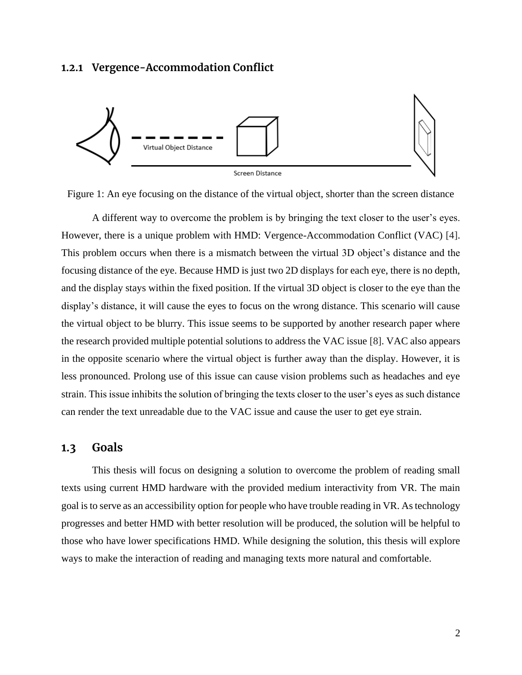### <span id="page-5-0"></span>**1.2.1 Vergence-Accommodation Conflict**



Figure 1: An eye focusing on the distance of the virtual object, shorter than the screen distance

A different way to overcome the problem is by bringing the text closer to the user's eyes. However, there is a unique problem with HMD: Vergence-Accommodation Conflict (VAC) [\[4\].](#page-27-0) This problem occurs when there is a mismatch between the virtual 3D object's distance and the focusing distance of the eye. Because HMD is just two 2D displays for each eye, there is no depth, and the display stays within the fixed position. If the virtual 3D object is closer to the eye than the display's distance, it will cause the eyes to focus on the wrong distance. This scenario will cause the virtual object to be blurry. This issue seems to be supported by another research paper where the research provided multiple potential solutions to address the VAC issue [\[8\].](#page-27-0) VAC also appears in the opposite scenario where the virtual object is further away than the display. However, it is less pronounced. Prolong use of this issue can cause vision problems such as headaches and eye strain. This issue inhibits the solution of bringing the texts closer to the user's eyes as such distance can render the text unreadable due to the VAC issue and cause the user to get eye strain.

#### <span id="page-5-1"></span>**1.3 Goals**

This thesis will focus on designing a solution to overcome the problem of reading small texts using current HMD hardware with the provided medium interactivity from VR. The main goal is to serve as an accessibility option for people who have trouble reading in VR. As technology progresses and better HMD with better resolution will be produced, the solution will be helpful to those who have lower specifications HMD. While designing the solution, this thesis will explore ways to make the interaction of reading and managing texts more natural and comfortable.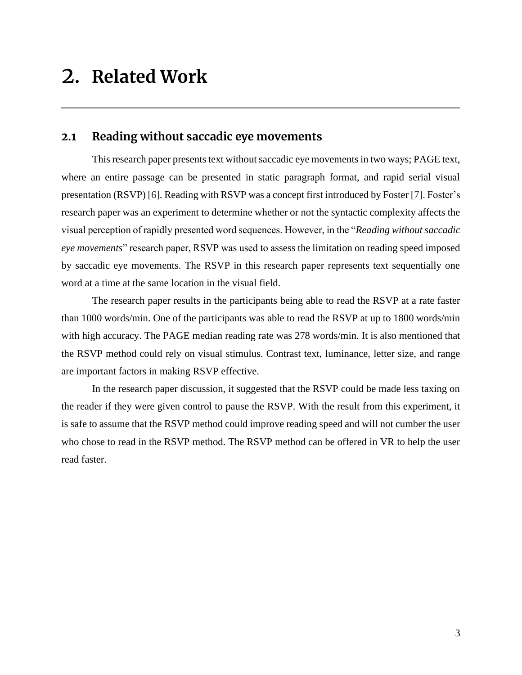# <span id="page-6-0"></span>2. **Related Work**

### <span id="page-6-1"></span>**2.1 Reading without saccadic eye movements**

This research paper presents text without saccadic eye movements in two ways; PAGE text, where an entire passage can be presented in static paragraph format, and rapid serial visual presentation (RSVP[\) \[6\].](#page-27-0) Reading with RSVP was a concept first introduced by Foster [\[7\].](#page-27-0) Foster's research paper was an experiment to determine whether or not the syntactic complexity affects the visual perception of rapidly presented word sequences. However, in the "*Reading without saccadic eye movements*" research paper, RSVP was used to assess the limitation on reading speed imposed by saccadic eye movements. The RSVP in this research paper represents text sequentially one word at a time at the same location in the visual field.

The research paper results in the participants being able to read the RSVP at a rate faster than 1000 words/min. One of the participants was able to read the RSVP at up to 1800 words/min with high accuracy. The PAGE median reading rate was 278 words/min. It is also mentioned that the RSVP method could rely on visual stimulus. Contrast text, luminance, letter size, and range are important factors in making RSVP effective.

In the research paper discussion, it suggested that the RSVP could be made less taxing on the reader if they were given control to pause the RSVP. With the result from this experiment, it is safe to assume that the RSVP method could improve reading speed and will not cumber the user who chose to read in the RSVP method. The RSVP method can be offered in VR to help the user read faster.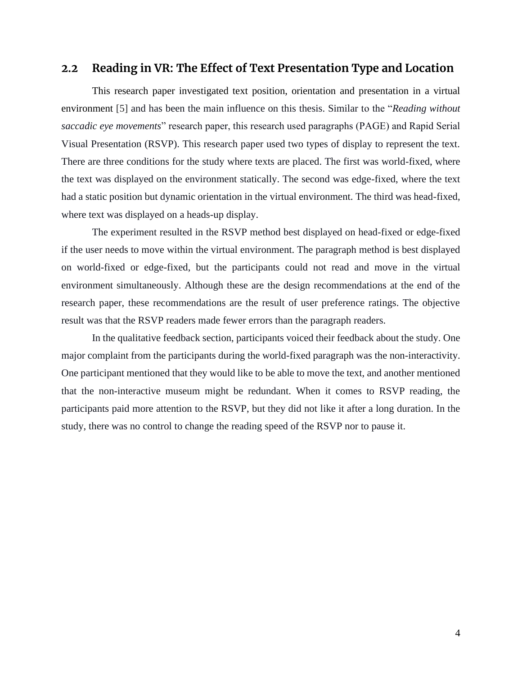### <span id="page-7-0"></span>**2.2 Reading in VR: The Effect of Text Presentation Type and Location**

This research paper investigated text position, orientation and presentation in a virtual environment [\[5\]](#page-27-0) and has been the main influence on this thesis. Similar to the "*Reading without saccadic eye movements*" research paper, this research used paragraphs (PAGE) and Rapid Serial Visual Presentation (RSVP). This research paper used two types of display to represent the text. There are three conditions for the study where texts are placed. The first was world-fixed, where the text was displayed on the environment statically. The second was edge-fixed, where the text had a static position but dynamic orientation in the virtual environment. The third was head-fixed, where text was displayed on a heads-up display.

The experiment resulted in the RSVP method best displayed on head-fixed or edge-fixed if the user needs to move within the virtual environment. The paragraph method is best displayed on world-fixed or edge-fixed, but the participants could not read and move in the virtual environment simultaneously. Although these are the design recommendations at the end of the research paper, these recommendations are the result of user preference ratings. The objective result was that the RSVP readers made fewer errors than the paragraph readers.

In the qualitative feedback section, participants voiced their feedback about the study. One major complaint from the participants during the world-fixed paragraph was the non-interactivity. One participant mentioned that they would like to be able to move the text, and another mentioned that the non-interactive museum might be redundant. When it comes to RSVP reading, the participants paid more attention to the RSVP, but they did not like it after a long duration. In the study, there was no control to change the reading speed of the RSVP nor to pause it.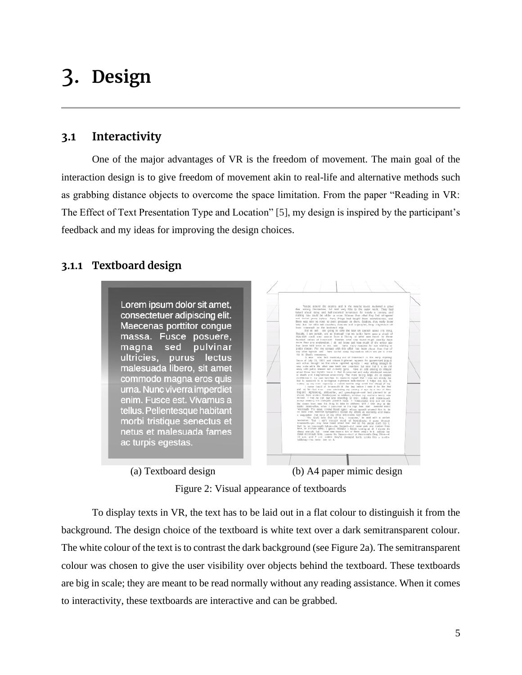# <span id="page-8-0"></span>3. **Design**

### <span id="page-8-1"></span>**3.1 Interactivity**

One of the major advantages of VR is the freedom of movement. The main goal of the interaction design is to give freedom of movement akin to real-life and alternative methods such as grabbing distance objects to overcome the space limitation. From the paper "Reading in VR: The Effect of Text Presentation Type and Location" [\[5\],](#page-27-0) my design is inspired by the participant's feedback and my ideas for improving the design choices.

### <span id="page-8-2"></span>**3.1.1 Textboard design**

Lorem ipsum dolor sit amet, consectetuer adipiscing elit. Maecenas porttitor congue massa. Fusce posuere, magna sed pulvinar ultricies, purus lectus malesuada libero, sit amet commodo magna eros quis urna. Nunc viverra imperdiet enim. Fusce est. Vivamus a tellus. Pellentesque habitant morbi tristique senectus et netus et malesuada fames ac turpis egestas.

(a) Textboard design (b) A4 paper mimic design

Figure 2: Visual appearance of textboards

To display texts in VR, the text has to be laid out in a flat colour to distinguish it from the background. The design choice of the textboard is white text over a dark semitransparent colour. The white colour of the text is to contrast the dark background (see Figure 2a). The semitransparent colour was chosen to give the user visibility over objects behind the textboard. These textboards are big in scale; they are meant to be read normally without any reading assistance. When it comes to interactivity, these textboards are interactive and can be grabbed.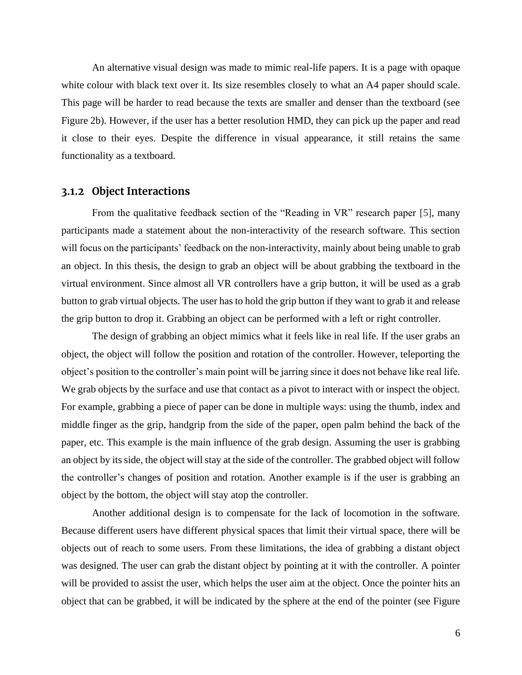An alternative visual design was made to mimic real-life papers. It is a page with opaque white colour with black text over it. Its size resembles closely to what an A4 paper should scale. This page will be harder to read because the texts are smaller and denser than the textboard (see Figure 2b). However, if the user has a better resolution HMD, they can pick up the paper and read it close to their eyes. Despite the difference in visual appearance, it still retains the same functionality as a textboard.

### <span id="page-9-0"></span>**3.1.2 Object Interactions**

From the qualitative feedback section of the "Reading in VR" research paper [\[5\],](#page-27-0) many participants made a statement about the non-interactivity of the research software. This section will focus on the participants' feedback on the non-interactivity, mainly about being unable to grab an object. In this thesis, the design to grab an object will be about grabbing the textboard in the virtual environment. Since almost all VR controllers have a grip button, it will be used as a grab button to grab virtual objects. The user has to hold the grip button if they want to grab it and release the grip button to drop it. Grabbing an object can be performed with a left or right controller.

The design of grabbing an object mimics what it feels like in real life. If the user grabs an object, the object will follow the position and rotation of the controller. However, teleporting the object's position to the controller's main point will be jarring since it does not behave like real life. We grab objects by the surface and use that contact as a pivot to interact with or inspect the object. For example, grabbing a piece of paper can be done in multiple ways: using the thumb, index and middle finger as the grip, handgrip from the side of the paper, open palm behind the back of the paper, etc. This example is the main influence of the grab design. Assuming the user is grabbing an object by its side, the object will stay at the side of the controller. The grabbed object will follow the controller's changes of position and rotation. Another example is if the user is grabbing an object by the bottom, the object will stay atop the controller.

Another additional design is to compensate for the lack of locomotion in the software. Because different users have different physical spaces that limit their virtual space, there will be objects out of reach to some users. From these limitations, the idea of grabbing a distant object was designed. The user can grab the distant object by pointing at it with the controller. A pointer will be provided to assist the user, which helps the user aim at the object. Once the pointer hits an object that can be grabbed, it will be indicated by the sphere at the end of the pointer (see Figure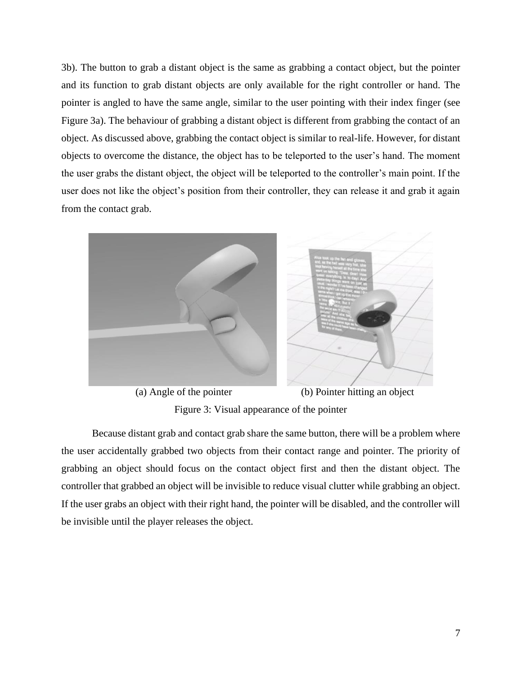3b). The button to grab a distant object is the same as grabbing a contact object, but the pointer and its function to grab distant objects are only available for the right controller or hand. The pointer is angled to have the same angle, similar to the user pointing with their index finger (see Figure 3a). The behaviour of grabbing a distant object is different from grabbing the contact of an object. As discussed above, grabbing the contact object is similar to real-life. However, for distant objects to overcome the distance, the object has to be teleported to the user's hand. The moment the user grabs the distant object, the object will be teleported to the controller's main point. If the user does not like the object's position from their controller, they can release it and grab it again from the contact grab.



 (a) Angle of the pointer (b) Pointer hitting an object Figure 3: Visual appearance of the pointer

Because distant grab and contact grab share the same button, there will be a problem where the user accidentally grabbed two objects from their contact range and pointer. The priority of grabbing an object should focus on the contact object first and then the distant object. The controller that grabbed an object will be invisible to reduce visual clutter while grabbing an object. If the user grabs an object with their right hand, the pointer will be disabled, and the controller will be invisible until the player releases the object.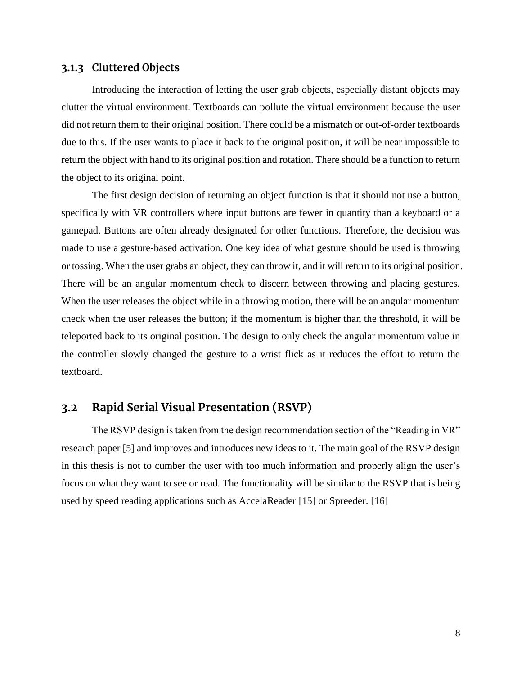### <span id="page-11-0"></span>**3.1.3 Cluttered Objects**

Introducing the interaction of letting the user grab objects, especially distant objects may clutter the virtual environment. Textboards can pollute the virtual environment because the user did not return them to their original position. There could be a mismatch or out-of-order textboards due to this. If the user wants to place it back to the original position, it will be near impossible to return the object with hand to its original position and rotation. There should be a function to return the object to its original point.

The first design decision of returning an object function is that it should not use a button, specifically with VR controllers where input buttons are fewer in quantity than a keyboard or a gamepad. Buttons are often already designated for other functions. Therefore, the decision was made to use a gesture-based activation. One key idea of what gesture should be used is throwing or tossing. When the user grabs an object, they can throw it, and it will return to its original position. There will be an angular momentum check to discern between throwing and placing gestures. When the user releases the object while in a throwing motion, there will be an angular momentum check when the user releases the button; if the momentum is higher than the threshold, it will be teleported back to its original position. The design to only check the angular momentum value in the controller slowly changed the gesture to a wrist flick as it reduces the effort to return the textboard.

### <span id="page-11-1"></span>**3.2 Rapid Serial Visual Presentation (RSVP)**

The RSVP design is taken from the design recommendation section of the "Reading in VR" research paper [\[5\]](#page-27-0) and improves and introduces new ideas to it. The main goal of the RSVP design in this thesis is not to cumber the user with too much information and properly align the user's focus on what they want to see or read. The functionality will be similar to the RSVP that is being used by speed reading applications such as AccelaReader [\[15\]](#page-27-0) or Spreeder. [\[16\]](#page-27-0)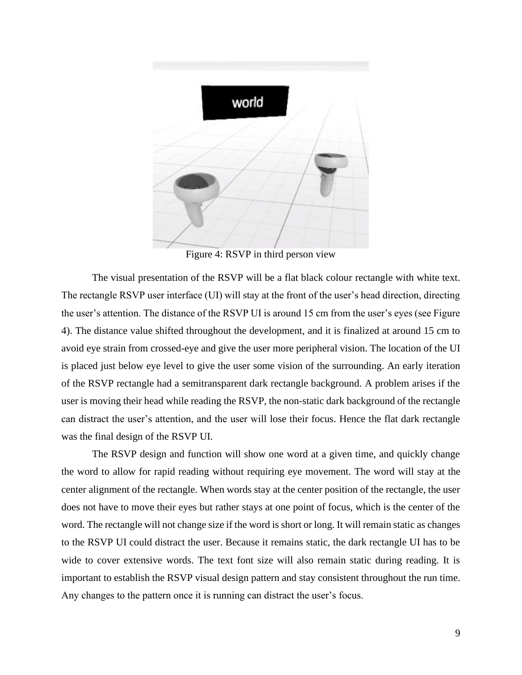

Figure 4: RSVP in third person view

The visual presentation of the RSVP will be a flat black colour rectangle with white text. The rectangle RSVP user interface (UI) will stay at the front of the user's head direction, directing the user's attention. The distance of the RSVP UI is around 15 cm from the user's eyes (see Figure 4). The distance value shifted throughout the development, and it is finalized at around 15 cm to avoid eye strain from crossed-eye and give the user more peripheral vision. The location of the UI is placed just below eye level to give the user some vision of the surrounding. An early iteration of the RSVP rectangle had a semitransparent dark rectangle background. A problem arises if the user is moving their head while reading the RSVP, the non-static dark background of the rectangle can distract the user's attention, and the user will lose their focus. Hence the flat dark rectangle was the final design of the RSVP UI.

The RSVP design and function will show one word at a given time, and quickly change the word to allow for rapid reading without requiring eye movement. The word will stay at the center alignment of the rectangle. When words stay at the center position of the rectangle, the user does not have to move their eyes but rather stays at one point of focus, which is the center of the word. The rectangle will not change size if the word is short or long. It will remain static as changes to the RSVP UI could distract the user. Because it remains static, the dark rectangle UI has to be wide to cover extensive words. The text font size will also remain static during reading. It is important to establish the RSVP visual design pattern and stay consistent throughout the run time. Any changes to the pattern once it is running can distract the user's focus.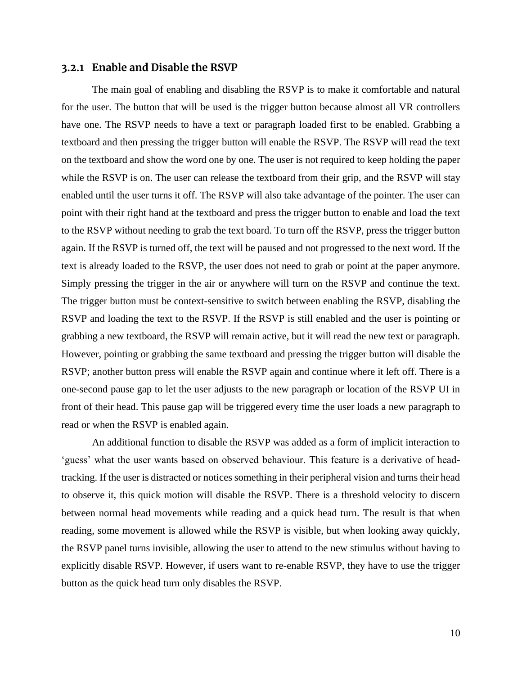#### <span id="page-13-0"></span>**3.2.1 Enable and Disable the RSVP**

The main goal of enabling and disabling the RSVP is to make it comfortable and natural for the user. The button that will be used is the trigger button because almost all VR controllers have one. The RSVP needs to have a text or paragraph loaded first to be enabled. Grabbing a textboard and then pressing the trigger button will enable the RSVP. The RSVP will read the text on the textboard and show the word one by one. The user is not required to keep holding the paper while the RSVP is on. The user can release the textboard from their grip, and the RSVP will stay enabled until the user turns it off. The RSVP will also take advantage of the pointer. The user can point with their right hand at the textboard and press the trigger button to enable and load the text to the RSVP without needing to grab the text board. To turn off the RSVP, press the trigger button again. If the RSVP is turned off, the text will be paused and not progressed to the next word. If the text is already loaded to the RSVP, the user does not need to grab or point at the paper anymore. Simply pressing the trigger in the air or anywhere will turn on the RSVP and continue the text. The trigger button must be context-sensitive to switch between enabling the RSVP, disabling the RSVP and loading the text to the RSVP. If the RSVP is still enabled and the user is pointing or grabbing a new textboard, the RSVP will remain active, but it will read the new text or paragraph. However, pointing or grabbing the same textboard and pressing the trigger button will disable the RSVP; another button press will enable the RSVP again and continue where it left off. There is a one-second pause gap to let the user adjusts to the new paragraph or location of the RSVP UI in front of their head. This pause gap will be triggered every time the user loads a new paragraph to read or when the RSVP is enabled again.

An additional function to disable the RSVP was added as a form of implicit interaction to 'guess' what the user wants based on observed behaviour. This feature is a derivative of headtracking. If the user is distracted or notices something in their peripheral vision and turns their head to observe it, this quick motion will disable the RSVP. There is a threshold velocity to discern between normal head movements while reading and a quick head turn. The result is that when reading, some movement is allowed while the RSVP is visible, but when looking away quickly, the RSVP panel turns invisible, allowing the user to attend to the new stimulus without having to explicitly disable RSVP. However, if users want to re-enable RSVP, they have to use the trigger button as the quick head turn only disables the RSVP.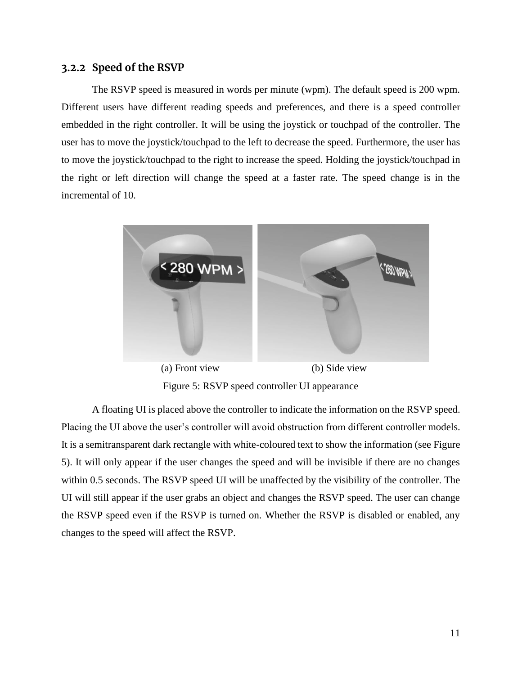#### <span id="page-14-0"></span>**3.2.2 Speed of the RSVP**

The RSVP speed is measured in words per minute (wpm). The default speed is 200 wpm. Different users have different reading speeds and preferences, and there is a speed controller embedded in the right controller. It will be using the joystick or touchpad of the controller. The user has to move the joystick/touchpad to the left to decrease the speed. Furthermore, the user has to move the joystick/touchpad to the right to increase the speed. Holding the joystick/touchpad in the right or left direction will change the speed at a faster rate. The speed change is in the incremental of 10.



Figure 5: RSVP speed controller UI appearance

A floating UI is placed above the controller to indicate the information on the RSVP speed. Placing the UI above the user's controller will avoid obstruction from different controller models. It is a semitransparent dark rectangle with white-coloured text to show the information (see Figure 5). It will only appear if the user changes the speed and will be invisible if there are no changes within 0.5 seconds. The RSVP speed UI will be unaffected by the visibility of the controller. The UI will still appear if the user grabs an object and changes the RSVP speed. The user can change the RSVP speed even if the RSVP is turned on. Whether the RSVP is disabled or enabled, any changes to the speed will affect the RSVP.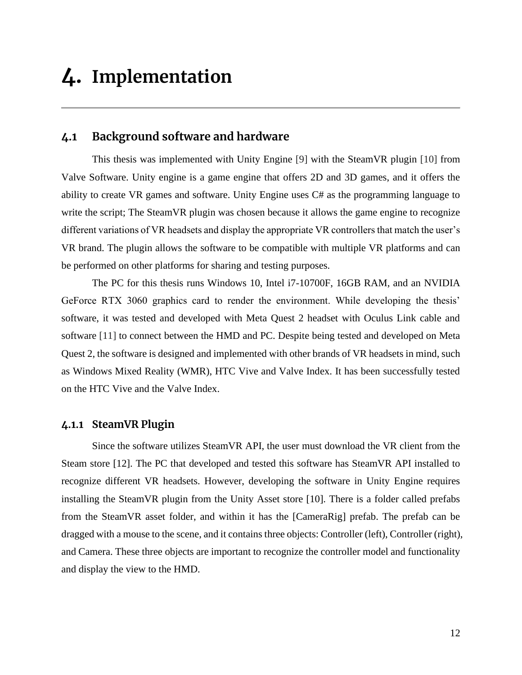# <span id="page-15-0"></span>**4. Implementation**

### <span id="page-15-1"></span>**4.1 Background software and hardware**

This thesis was implemented with Unity Engine [\[9\]](#page-27-0) with the SteamVR plugin [\[10\]](#page-27-0) from Valve Software. Unity engine is a game engine that offers 2D and 3D games, and it offers the ability to create VR games and software. Unity Engine uses C# as the programming language to write the script; The SteamVR plugin was chosen because it allows the game engine to recognize different variations of VR headsets and display the appropriate VR controllers that match the user's VR brand. The plugin allows the software to be compatible with multiple VR platforms and can be performed on other platforms for sharing and testing purposes.

The PC for this thesis runs Windows 10, Intel i7-10700F, 16GB RAM, and an NVIDIA GeForce RTX 3060 graphics card to render the environment. While developing the thesis' software, it was tested and developed with Meta Quest 2 headset with Oculus Link cable and software [\[11\]](#page-27-0) to connect between the HMD and PC. Despite being tested and developed on Meta Quest 2, the software is designed and implemented with other brands of VR headsets in mind, such as Windows Mixed Reality (WMR), HTC Vive and Valve Index. It has been successfully tested on the HTC Vive and the Valve Index.

### <span id="page-15-2"></span>**4.1.1 SteamVR Plugin**

Since the software utilizes SteamVR API, the user must download the VR client from the Steam store [12]. The PC that developed and tested this software has SteamVR API installed to recognize different VR headsets. However, developing the software in Unity Engine requires installing the SteamVR plugin from the Unity Asset store [10]. There is a folder called prefabs from the SteamVR asset folder, and within it has the [CameraRig] prefab. The prefab can be dragged with a mouse to the scene, and it contains three objects: Controller (left), Controller (right), and Camera. These three objects are important to recognize the controller model and functionality and display the view to the HMD.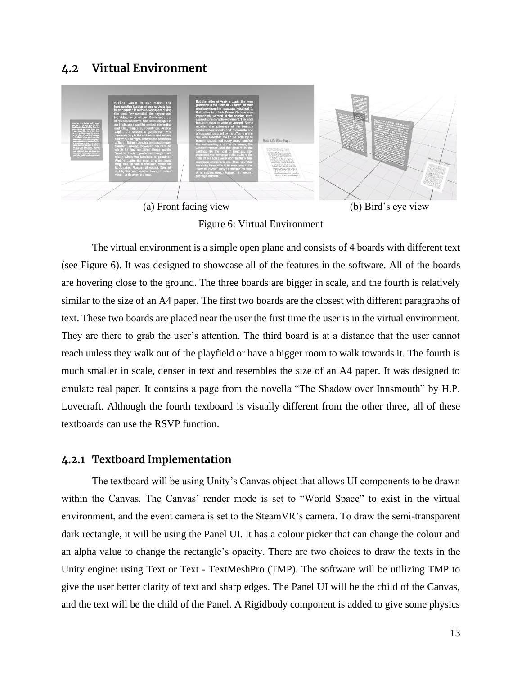## <span id="page-16-0"></span>**4.2 Virtual Environment**



Figure 6: Virtual Environment

The virtual environment is a simple open plane and consists of 4 boards with different text (see Figure 6). It was designed to showcase all of the features in the software. All of the boards are hovering close to the ground. The three boards are bigger in scale, and the fourth is relatively similar to the size of an A4 paper. The first two boards are the closest with different paragraphs of text. These two boards are placed near the user the first time the user is in the virtual environment. They are there to grab the user's attention. The third board is at a distance that the user cannot reach unless they walk out of the playfield or have a bigger room to walk towards it. The fourth is much smaller in scale, denser in text and resembles the size of an A4 paper. It was designed to emulate real paper. It contains a page from the novella "The Shadow over Innsmouth" by H.P. Lovecraft. Although the fourth textboard is visually different from the other three, all of these textboards can use the RSVP function.

### <span id="page-16-1"></span>**4.2.1 Textboard Implementation**

The textboard will be using Unity's Canvas object that allows UI components to be drawn within the Canvas. The Canvas' render mode is set to "World Space" to exist in the virtual environment, and the event camera is set to the SteamVR's camera. To draw the semi-transparent dark rectangle, it will be using the Panel UI. It has a colour picker that can change the colour and an alpha value to change the rectangle's opacity. There are two choices to draw the texts in the Unity engine: using Text or Text - TextMeshPro (TMP). The software will be utilizing TMP to give the user better clarity of text and sharp edges. The Panel UI will be the child of the Canvas, and the text will be the child of the Panel. A Rigidbody component is added to give some physics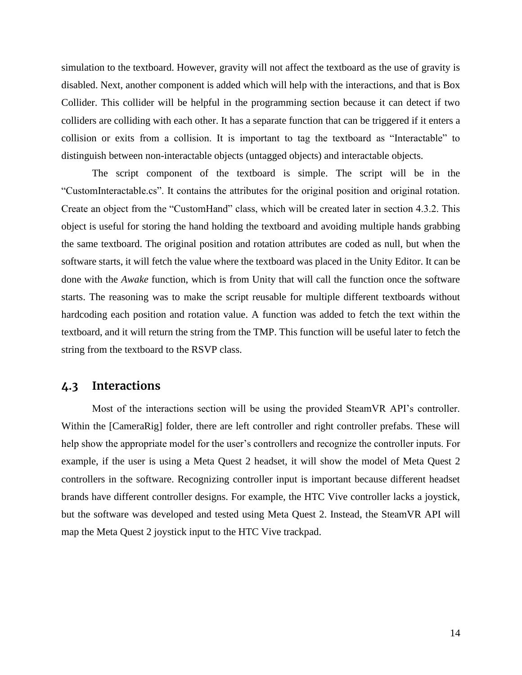simulation to the textboard. However, gravity will not affect the textboard as the use of gravity is disabled. Next, another component is added which will help with the interactions, and that is Box Collider. This collider will be helpful in the programming section because it can detect if two colliders are colliding with each other. It has a separate function that can be triggered if it enters a collision or exits from a collision. It is important to tag the textboard as "Interactable" to distinguish between non-interactable objects (untagged objects) and interactable objects.

The script component of the textboard is simple. The script will be in the "CustomInteractable.cs". It contains the attributes for the original position and original rotation. Create an object from the "CustomHand" class, which will be created later in section 4.3.2. This object is useful for storing the hand holding the textboard and avoiding multiple hands grabbing the same textboard. The original position and rotation attributes are coded as null, but when the software starts, it will fetch the value where the textboard was placed in the Unity Editor. It can be done with the *Awake* function, which is from Unity that will call the function once the software starts. The reasoning was to make the script reusable for multiple different textboards without hardcoding each position and rotation value. A function was added to fetch the text within the textboard, and it will return the string from the TMP. This function will be useful later to fetch the string from the textboard to the RSVP class.

### <span id="page-17-0"></span>**4.3 Interactions**

Most of the interactions section will be using the provided SteamVR API's controller. Within the [CameraRig] folder, there are left controller and right controller prefabs. These will help show the appropriate model for the user's controllers and recognize the controller inputs. For example, if the user is using a Meta Quest 2 headset, it will show the model of Meta Quest 2 controllers in the software. Recognizing controller input is important because different headset brands have different controller designs. For example, the HTC Vive controller lacks a joystick, but the software was developed and tested using Meta Quest 2. Instead, the SteamVR API will map the Meta Quest 2 joystick input to the HTC Vive trackpad.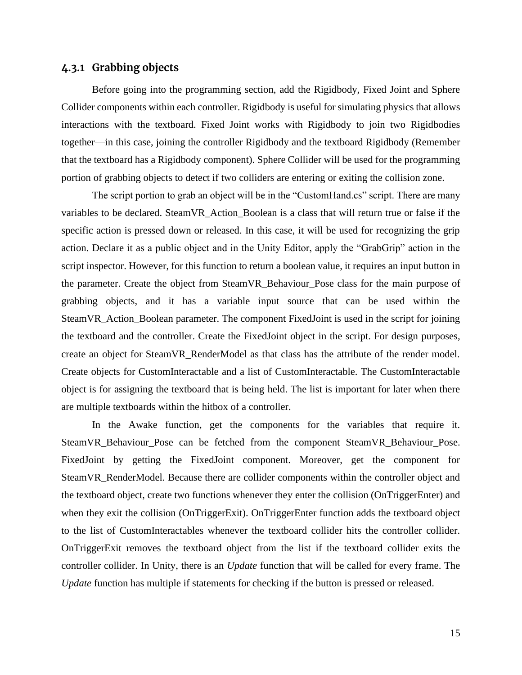#### <span id="page-18-0"></span>**4.3.1 Grabbing objects**

Before going into the programming section, add the Rigidbody, Fixed Joint and Sphere Collider components within each controller. Rigidbody is useful for simulating physics that allows interactions with the textboard. Fixed Joint works with Rigidbody to join two Rigidbodies together—in this case, joining the controller Rigidbody and the textboard Rigidbody (Remember that the textboard has a Rigidbody component). Sphere Collider will be used for the programming portion of grabbing objects to detect if two colliders are entering or exiting the collision zone.

The script portion to grab an object will be in the "CustomHand.cs" script. There are many variables to be declared. SteamVR\_Action\_Boolean is a class that will return true or false if the specific action is pressed down or released. In this case, it will be used for recognizing the grip action. Declare it as a public object and in the Unity Editor, apply the "GrabGrip" action in the script inspector. However, for this function to return a boolean value, it requires an input button in the parameter. Create the object from SteamVR\_Behaviour\_Pose class for the main purpose of grabbing objects, and it has a variable input source that can be used within the SteamVR\_Action\_Boolean parameter. The component FixedJoint is used in the script for joining the textboard and the controller. Create the FixedJoint object in the script. For design purposes, create an object for SteamVR\_RenderModel as that class has the attribute of the render model. Create objects for CustomInteractable and a list of CustomInteractable. The CustomInteractable object is for assigning the textboard that is being held. The list is important for later when there are multiple textboards within the hitbox of a controller.

In the Awake function, get the components for the variables that require it. SteamVR\_Behaviour\_Pose can be fetched from the component SteamVR\_Behaviour\_Pose. FixedJoint by getting the FixedJoint component. Moreover, get the component for SteamVR\_RenderModel. Because there are collider components within the controller object and the textboard object, create two functions whenever they enter the collision (OnTriggerEnter) and when they exit the collision (OnTriggerExit). OnTriggerEnter function adds the textboard object to the list of CustomInteractables whenever the textboard collider hits the controller collider. OnTriggerExit removes the textboard object from the list if the textboard collider exits the controller collider. In Unity, there is an *Update* function that will be called for every frame. The *Update* function has multiple if statements for checking if the button is pressed or released.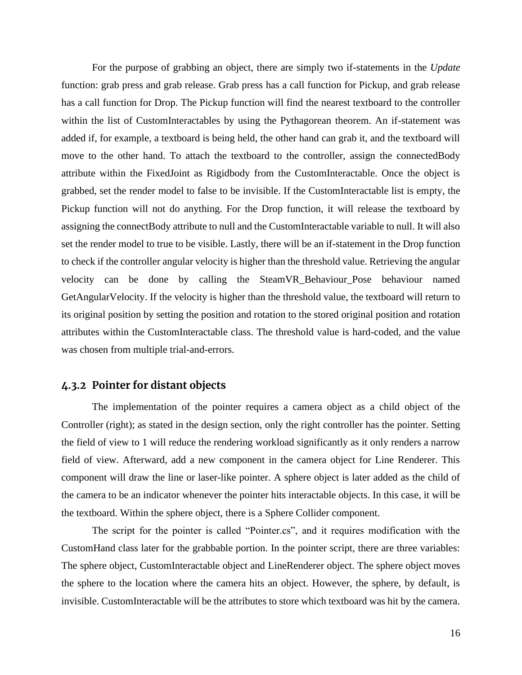For the purpose of grabbing an object, there are simply two if-statements in the *Update* function: grab press and grab release. Grab press has a call function for Pickup, and grab release has a call function for Drop. The Pickup function will find the nearest textboard to the controller within the list of CustomInteractables by using the Pythagorean theorem. An if-statement was added if, for example, a textboard is being held, the other hand can grab it, and the textboard will move to the other hand. To attach the textboard to the controller, assign the connectedBody attribute within the FixedJoint as Rigidbody from the CustomInteractable. Once the object is grabbed, set the render model to false to be invisible. If the CustomInteractable list is empty, the Pickup function will not do anything. For the Drop function, it will release the textboard by assigning the connectBody attribute to null and the CustomInteractable variable to null. It will also set the render model to true to be visible. Lastly, there will be an if-statement in the Drop function to check if the controller angular velocity is higher than the threshold value. Retrieving the angular velocity can be done by calling the SteamVR\_Behaviour\_Pose behaviour named GetAngularVelocity. If the velocity is higher than the threshold value, the textboard will return to its original position by setting the position and rotation to the stored original position and rotation attributes within the CustomInteractable class. The threshold value is hard-coded, and the value was chosen from multiple trial-and-errors.

### <span id="page-19-0"></span>**4.3.2 Pointer for distant objects**

The implementation of the pointer requires a camera object as a child object of the Controller (right); as stated in the design section, only the right controller has the pointer. Setting the field of view to 1 will reduce the rendering workload significantly as it only renders a narrow field of view. Afterward, add a new component in the camera object for Line Renderer. This component will draw the line or laser-like pointer. A sphere object is later added as the child of the camera to be an indicator whenever the pointer hits interactable objects. In this case, it will be the textboard. Within the sphere object, there is a Sphere Collider component.

The script for the pointer is called "Pointer.cs", and it requires modification with the CustomHand class later for the grabbable portion. In the pointer script, there are three variables: The sphere object, CustomInteractable object and LineRenderer object. The sphere object moves the sphere to the location where the camera hits an object. However, the sphere, by default, is invisible. CustomInteractable will be the attributes to store which textboard was hit by the camera.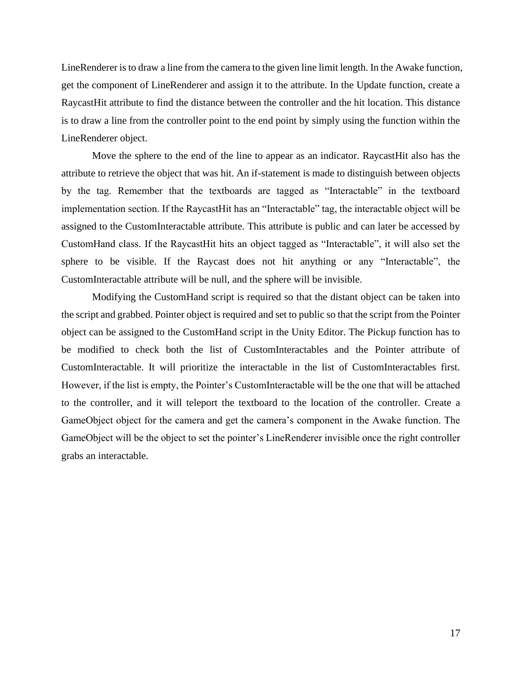LineRenderer is to draw a line from the camera to the given line limit length. In the Awake function, get the component of LineRenderer and assign it to the attribute. In the Update function, create a RaycastHit attribute to find the distance between the controller and the hit location. This distance is to draw a line from the controller point to the end point by simply using the function within the LineRenderer object.

Move the sphere to the end of the line to appear as an indicator. RaycastHit also has the attribute to retrieve the object that was hit. An if-statement is made to distinguish between objects by the tag. Remember that the textboards are tagged as "Interactable" in the textboard implementation section. If the RaycastHit has an "Interactable" tag, the interactable object will be assigned to the CustomInteractable attribute. This attribute is public and can later be accessed by CustomHand class. If the RaycastHit hits an object tagged as "Interactable", it will also set the sphere to be visible. If the Raycast does not hit anything or any "Interactable", the CustomInteractable attribute will be null, and the sphere will be invisible.

Modifying the CustomHand script is required so that the distant object can be taken into the script and grabbed. Pointer object is required and set to public so that the script from the Pointer object can be assigned to the CustomHand script in the Unity Editor. The Pickup function has to be modified to check both the list of CustomInteractables and the Pointer attribute of CustomInteractable. It will prioritize the interactable in the list of CustomInteractables first. However, if the list is empty, the Pointer's CustomInteractable will be the one that will be attached to the controller, and it will teleport the textboard to the location of the controller. Create a GameObject object for the camera and get the camera's component in the Awake function. The GameObject will be the object to set the pointer's LineRenderer invisible once the right controller grabs an interactable.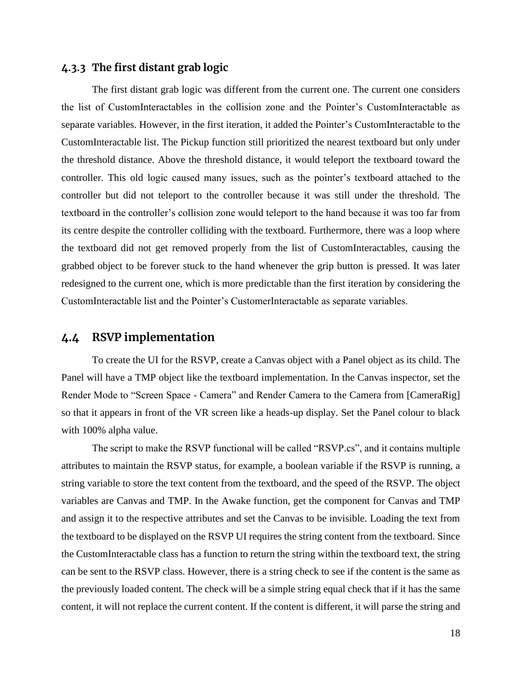#### <span id="page-21-0"></span>**4.3.3 The first distant grab logic**

The first distant grab logic was different from the current one. The current one considers the list of CustomInteractables in the collision zone and the Pointer's CustomInteractable as separate variables. However, in the first iteration, it added the Pointer's CustomInteractable to the CustomInteractable list. The Pickup function still prioritized the nearest textboard but only under the threshold distance. Above the threshold distance, it would teleport the textboard toward the controller. This old logic caused many issues, such as the pointer's textboard attached to the controller but did not teleport to the controller because it was still under the threshold. The textboard in the controller's collision zone would teleport to the hand because it was too far from its centre despite the controller colliding with the textboard. Furthermore, there was a loop where the textboard did not get removed properly from the list of CustomInteractables, causing the grabbed object to be forever stuck to the hand whenever the grip button is pressed. It was later redesigned to the current one, which is more predictable than the first iteration by considering the CustomInteractable list and the Pointer's CustomerInteractable as separate variables.

### <span id="page-21-1"></span>**4.4 RSVP implementation**

To create the UI for the RSVP, create a Canvas object with a Panel object as its child. The Panel will have a TMP object like the textboard implementation. In the Canvas inspector, set the Render Mode to "Screen Space - Camera" and Render Camera to the Camera from [CameraRig] so that it appears in front of the VR screen like a heads-up display. Set the Panel colour to black with 100% alpha value.

The script to make the RSVP functional will be called "RSVP.cs", and it contains multiple attributes to maintain the RSVP status, for example, a boolean variable if the RSVP is running, a string variable to store the text content from the textboard, and the speed of the RSVP. The object variables are Canvas and TMP. In the Awake function, get the component for Canvas and TMP and assign it to the respective attributes and set the Canvas to be invisible. Loading the text from the textboard to be displayed on the RSVP UI requires the string content from the textboard. Since the CustomInteractable class has a function to return the string within the textboard text, the string can be sent to the RSVP class. However, there is a string check to see if the content is the same as the previously loaded content. The check will be a simple string equal check that if it has the same content, it will not replace the current content. If the content is different, it will parse the string and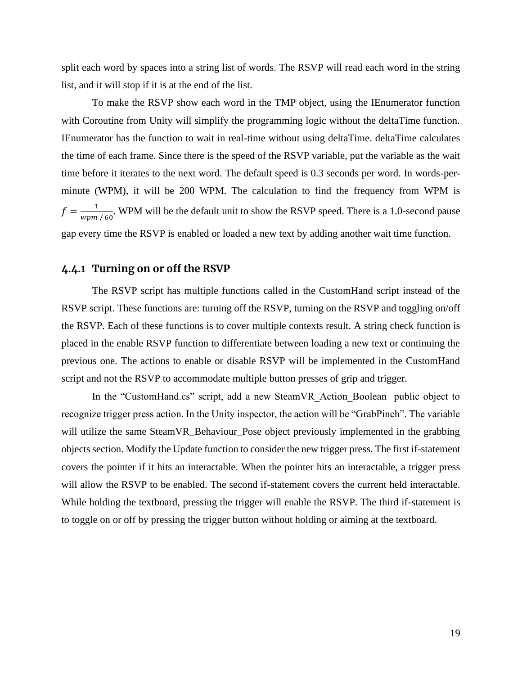split each word by spaces into a string list of words. The RSVP will read each word in the string list, and it will stop if it is at the end of the list.

To make the RSVP show each word in the TMP object, using the IEnumerator function with Coroutine from Unity will simplify the programming logic without the deltaTime function. IEnumerator has the function to wait in real-time without using deltaTime. deltaTime calculates the time of each frame. Since there is the speed of the RSVP variable, put the variable as the wait time before it iterates to the next word. The default speed is 0.3 seconds per word. In words-perminute (WPM), it will be 200 WPM. The calculation to find the frequency from WPM is  $f = \frac{1}{1}$  $\frac{1}{wpm/60}$ . WPM will be the default unit to show the RSVP speed. There is a 1.0-second pause gap every time the RSVP is enabled or loaded a new text by adding another wait time function.

### <span id="page-22-0"></span>**4.4.1 Turning on or off the RSVP**

The RSVP script has multiple functions called in the CustomHand script instead of the RSVP script. These functions are: turning off the RSVP, turning on the RSVP and toggling on/off the RSVP. Each of these functions is to cover multiple contexts result. A string check function is placed in the enable RSVP function to differentiate between loading a new text or continuing the previous one. The actions to enable or disable RSVP will be implemented in the CustomHand script and not the RSVP to accommodate multiple button presses of grip and trigger.

In the "CustomHand.cs" script, add a new SteamVR\_Action\_Boolean public object to recognize trigger press action. In the Unity inspector, the action will be "GrabPinch". The variable will utilize the same SteamVR\_Behaviour\_Pose object previously implemented in the grabbing objects section. Modify the Update function to consider the new trigger press. The first if-statement covers the pointer if it hits an interactable. When the pointer hits an interactable, a trigger press will allow the RSVP to be enabled. The second if-statement covers the current held interactable. While holding the textboard, pressing the trigger will enable the RSVP. The third if-statement is to toggle on or off by pressing the trigger button without holding or aiming at the textboard.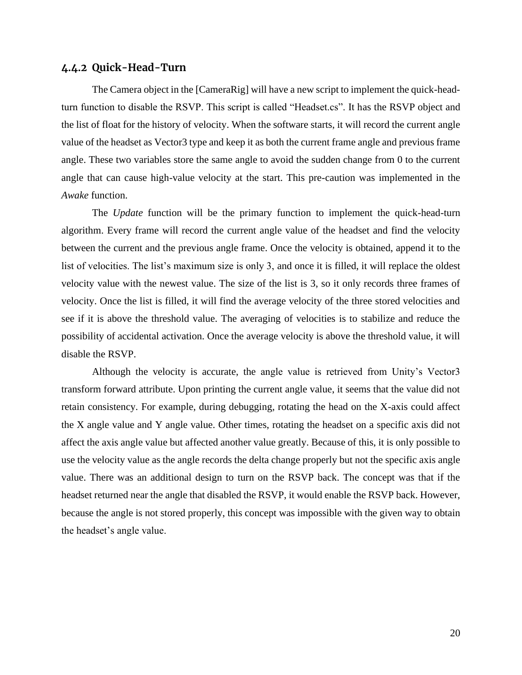#### <span id="page-23-0"></span>**4.4.2 Quick-Head-Turn**

The Camera object in the [CameraRig] will have a new script to implement the quick-headturn function to disable the RSVP. This script is called "Headset.cs". It has the RSVP object and the list of float for the history of velocity. When the software starts, it will record the current angle value of the headset as Vector3 type and keep it as both the current frame angle and previous frame angle. These two variables store the same angle to avoid the sudden change from 0 to the current angle that can cause high-value velocity at the start. This pre-caution was implemented in the *Awake* function.

The *Update* function will be the primary function to implement the quick-head-turn algorithm. Every frame will record the current angle value of the headset and find the velocity between the current and the previous angle frame. Once the velocity is obtained, append it to the list of velocities. The list's maximum size is only 3, and once it is filled, it will replace the oldest velocity value with the newest value. The size of the list is 3, so it only records three frames of velocity. Once the list is filled, it will find the average velocity of the three stored velocities and see if it is above the threshold value. The averaging of velocities is to stabilize and reduce the possibility of accidental activation. Once the average velocity is above the threshold value, it will disable the RSVP.

Although the velocity is accurate, the angle value is retrieved from Unity's Vector3 transform forward attribute. Upon printing the current angle value, it seems that the value did not retain consistency. For example, during debugging, rotating the head on the X-axis could affect the X angle value and Y angle value. Other times, rotating the headset on a specific axis did not affect the axis angle value but affected another value greatly. Because of this, it is only possible to use the velocity value as the angle records the delta change properly but not the specific axis angle value. There was an additional design to turn on the RSVP back. The concept was that if the headset returned near the angle that disabled the RSVP, it would enable the RSVP back. However, because the angle is not stored properly, this concept was impossible with the given way to obtain the headset's angle value.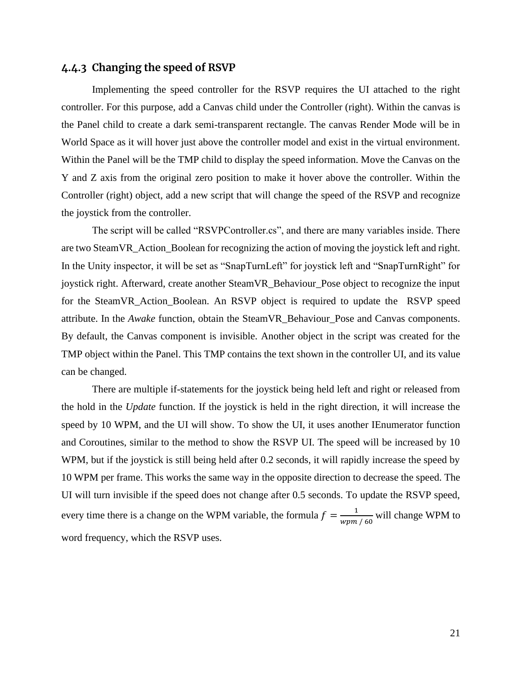### <span id="page-24-0"></span>**4.4.3 Changing the speed of RSVP**

Implementing the speed controller for the RSVP requires the UI attached to the right controller. For this purpose, add a Canvas child under the Controller (right). Within the canvas is the Panel child to create a dark semi-transparent rectangle. The canvas Render Mode will be in World Space as it will hover just above the controller model and exist in the virtual environment. Within the Panel will be the TMP child to display the speed information. Move the Canvas on the Y and Z axis from the original zero position to make it hover above the controller. Within the Controller (right) object, add a new script that will change the speed of the RSVP and recognize the joystick from the controller.

The script will be called "RSVPController.cs", and there are many variables inside. There are two SteamVR\_Action\_Boolean for recognizing the action of moving the joystick left and right. In the Unity inspector, it will be set as "SnapTurnLeft" for joystick left and "SnapTurnRight" for joystick right. Afterward, create another SteamVR\_Behaviour\_Pose object to recognize the input for the SteamVR\_Action\_Boolean. An RSVP object is required to update the RSVP speed attribute. In the *Awake* function, obtain the SteamVR\_Behaviour\_Pose and Canvas components. By default, the Canvas component is invisible. Another object in the script was created for the TMP object within the Panel. This TMP contains the text shown in the controller UI, and its value can be changed.

There are multiple if-statements for the joystick being held left and right or released from the hold in the *Update* function. If the joystick is held in the right direction, it will increase the speed by 10 WPM, and the UI will show. To show the UI, it uses another IEnumerator function and Coroutines, similar to the method to show the RSVP UI. The speed will be increased by 10 WPM, but if the joystick is still being held after 0.2 seconds, it will rapidly increase the speed by 10 WPM per frame. This works the same way in the opposite direction to decrease the speed. The UI will turn invisible if the speed does not change after 0.5 seconds. To update the RSVP speed, every time there is a change on the WPM variable, the formula  $f = \frac{1}{1 - e}$  $\frac{1}{wpm/60}$  will change WPM to word frequency, which the RSVP uses.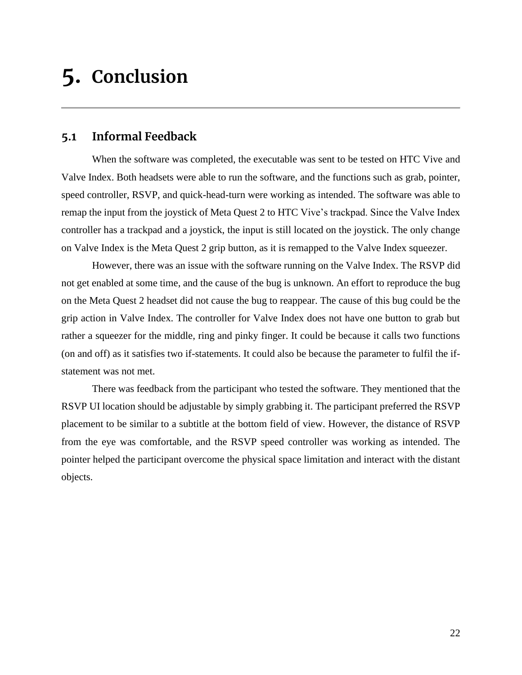# <span id="page-25-0"></span>**5. Conclusion**

### <span id="page-25-1"></span>**5.1 Informal Feedback**

When the software was completed, the executable was sent to be tested on HTC Vive and Valve Index. Both headsets were able to run the software, and the functions such as grab, pointer, speed controller, RSVP, and quick-head-turn were working as intended. The software was able to remap the input from the joystick of Meta Quest 2 to HTC Vive's trackpad. Since the Valve Index controller has a trackpad and a joystick, the input is still located on the joystick. The only change on Valve Index is the Meta Quest 2 grip button, as it is remapped to the Valve Index squeezer.

However, there was an issue with the software running on the Valve Index. The RSVP did not get enabled at some time, and the cause of the bug is unknown. An effort to reproduce the bug on the Meta Quest 2 headset did not cause the bug to reappear. The cause of this bug could be the grip action in Valve Index. The controller for Valve Index does not have one button to grab but rather a squeezer for the middle, ring and pinky finger. It could be because it calls two functions (on and off) as it satisfies two if-statements. It could also be because the parameter to fulfil the ifstatement was not met.

There was feedback from the participant who tested the software. They mentioned that the RSVP UI location should be adjustable by simply grabbing it. The participant preferred the RSVP placement to be similar to a subtitle at the bottom field of view. However, the distance of RSVP from the eye was comfortable, and the RSVP speed controller was working as intended. The pointer helped the participant overcome the physical space limitation and interact with the distant objects.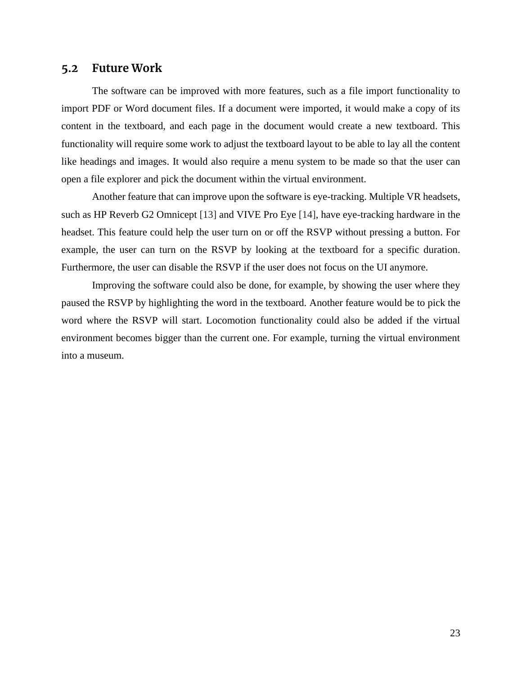#### <span id="page-26-0"></span>**5.2 Future Work**

The software can be improved with more features, such as a file import functionality to import PDF or Word document files. If a document were imported, it would make a copy of its content in the textboard, and each page in the document would create a new textboard. This functionality will require some work to adjust the textboard layout to be able to lay all the content like headings and images. It would also require a menu system to be made so that the user can open a file explorer and pick the document within the virtual environment.

Another feature that can improve upon the software is eye-tracking. Multiple VR headsets, such as HP Reverb G2 Omnicept [\[13\]](#page-27-0) and VIVE Pro Eye [\[14\],](#page-27-0) have eye-tracking hardware in the headset. This feature could help the user turn on or off the RSVP without pressing a button. For example, the user can turn on the RSVP by looking at the textboard for a specific duration. Furthermore, the user can disable the RSVP if the user does not focus on the UI anymore.

Improving the software could also be done, for example, by showing the user where they paused the RSVP by highlighting the word in the textboard. Another feature would be to pick the word where the RSVP will start. Locomotion functionality could also be added if the virtual environment becomes bigger than the current one. For example, turning the virtual environment into a museum.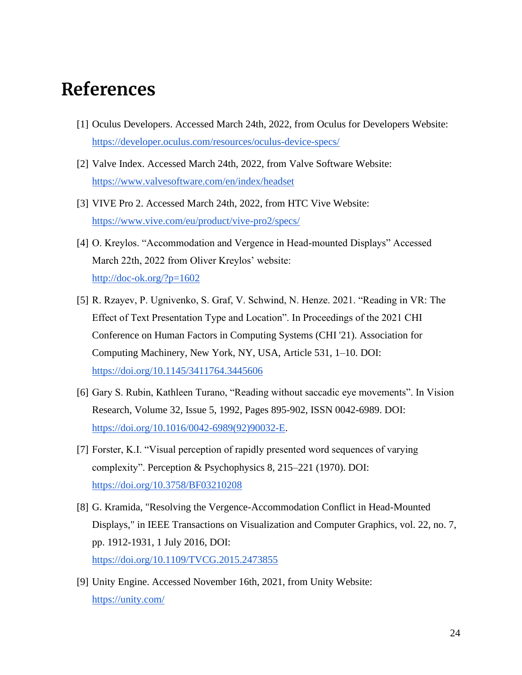# <span id="page-27-0"></span>**References**

- [1] Oculus Developers. Accessed March 24th, 2022, from Oculus for Developers Website: <https://developer.oculus.com/resources/oculus-device-specs/>
- [2] Valve Index. Accessed March 24th, 2022, from Valve Software Website: <https://www.valvesoftware.com/en/index/headset>
- [3] VIVE Pro 2. Accessed March 24th, 2022, from HTC Vive Website: <https://www.vive.com/eu/product/vive-pro2/specs/>
- [4] O. Kreylos. "Accommodation and Vergence in Head-mounted Displays" Accessed March 22th, 2022 from Oliver Kreylos' website: <http://doc-ok.org/?p=1602>
- [5] R. Rzayev, P. Ugnivenko, S. Graf, V. Schwind, N. Henze. 2021. "Reading in VR: The Effect of Text Presentation Type and Location". In Proceedings of the 2021 CHI Conference on Human Factors in Computing Systems (CHI '21). Association for Computing Machinery, New York, NY, USA, Article 531, 1–10. DOI: <https://doi.org/10.1145/3411764.3445606>
- [6] Gary S. Rubin, Kathleen Turano, "Reading without saccadic eye movements". In Vision Research, Volume 32, Issue 5, 1992, Pages 895-902, ISSN 0042-6989. DOI: [https://doi.org/10.1016/0042-6989\(92\)90032-E.](https://doi.org/10.1016/0042-6989(92)90032-E)
- [7] Forster, K.I. "Visual perception of rapidly presented word sequences of varying complexity". Perception & Psychophysics 8, 215–221 (1970). DOI: <https://doi.org/10.3758/BF03210208>
- [8] G. Kramida, "Resolving the Vergence-Accommodation Conflict in Head-Mounted Displays," in IEEE Transactions on Visualization and Computer Graphics, vol. 22, no. 7, pp. 1912-1931, 1 July 2016, DOI: <https://doi.org/10.1109/TVCG.2015.2473855>
- [9] Unity Engine. Accessed November 16th, 2021, from Unity Website: <https://unity.com/>